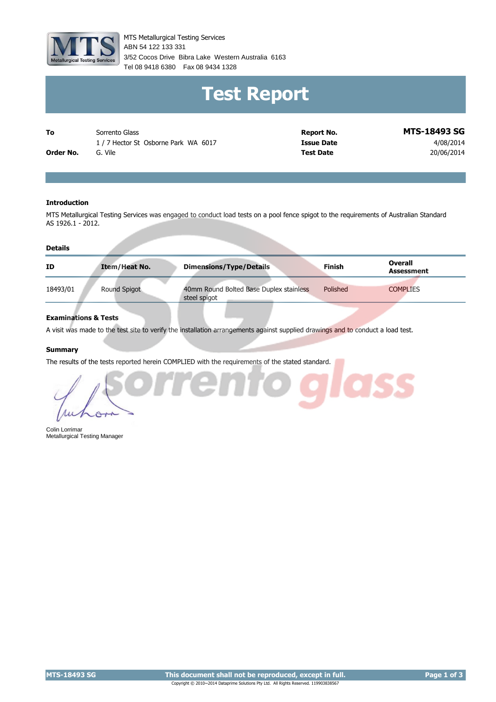

MTS Metallurgical Testing Services 3/52 Cocos Drive Bibra Lake Western Australia 6163 Tel 08 9418 6380 Fax 08 9434 1328 ABN 54 122 133 331

# **Test Report**

**Order No.** G. Vile To Sorrento Glass 1 / 7 Hector St Osborne Park WA 6017

**Report No. MTS-18493 SG Issue Date** 4/08/2014 **Test Date** 20/06/2014

#### **Introduction**

MTS Metallurgical Testing Services was engaged to conduct load tests on a pool fence spigot to the requirements of Australian Standard AS 1926.1 - 2012.

#### **Details**

| ID       | <b>Item/Heat No.</b> | <b>Dimensions/Type/Details</b>                          | <b>Finish</b> | Overall<br><b>Assessment</b> |
|----------|----------------------|---------------------------------------------------------|---------------|------------------------------|
| 18493/01 | Round Spigot         | 40mm Round Bolted Base Duplex stainless<br>steel spigot | Polished      | <b>COMPLIES</b>              |

#### **Examinations & Tests**

A visit was made to the test site to verify the installation arrangements against supplied drawings and to conduct a load test.

#### **Summary**

The results of the tests reported herein COMPLIED with the requirements of the stated standard.



Colin Lorrimar Metallurgical Testing Manager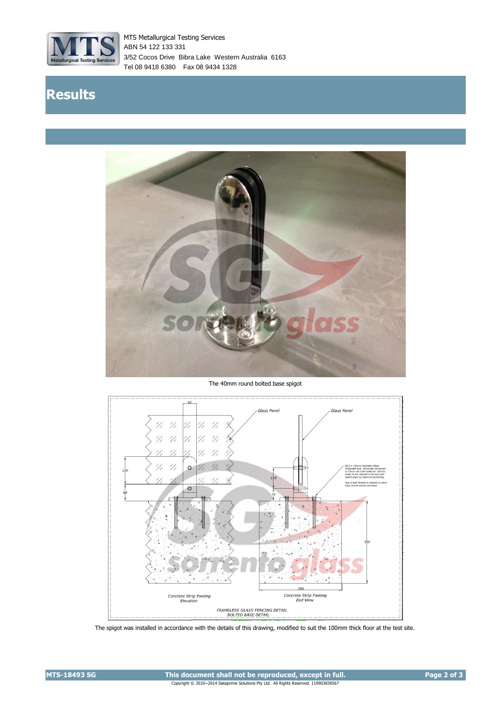

MTS Metallurgical Testing Services 3/52 Cocos Drive Bibra Lake Western Australia 6163 Tel 08 9418 6380 Fax 08 9434 1328 ABN 54 122 133 331

## **Results**



The 40mm round bolted base spigot



The spigot was installed in accordance with the details of this drawing, modified to suit the 100mm thick floor at the test site.